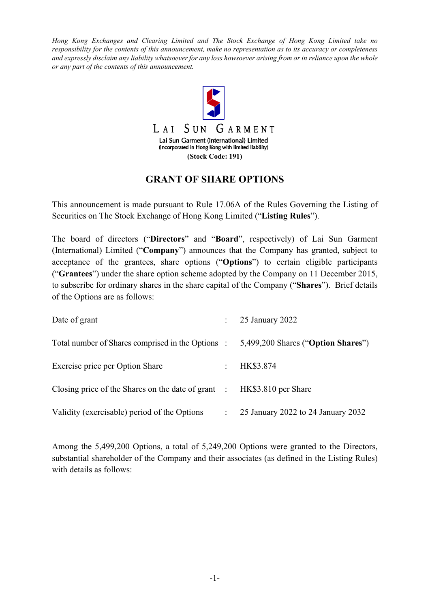Hong Kong Exchanges and Clearing Limited and The Stock Exchange of Hong Kong Limited take no responsibility for the contents of this announcement, make no representation as to its accuracy or completeness and expressly disclaim any liability whatsoever for any loss howsoever arising from or in reliance upon the whole or any part of the contents of this announcement.



## GRANT OF SHARE OPTIONS

This announcement is made pursuant to Rule 17.06A of the Rules Governing the Listing of Securities on The Stock Exchange of Hong Kong Limited ("Listing Rules").

The board of directors ("Directors" and "Board", respectively) of Lai Sun Garment (International) Limited ("Company") announces that the Company has granted, subject to acceptance of the grantees, share options ("Options") to certain eligible participants ("Grantees") under the share option scheme adopted by the Company on 11 December 2015, to subscribe for ordinary shares in the share capital of the Company ("Shares"). Brief details of the Options are as follows:

| Date of grant                                                                     |                | $\therefore$ 25 January 2022       |
|-----------------------------------------------------------------------------------|----------------|------------------------------------|
| Total number of Shares comprised in the Options:                                  |                | 5,499,200 Shares ("Option Shares") |
| Exercise price per Option Share                                                   |                | HK\$3.874                          |
| Closing price of the Shares on the date of grant $\therefore$ HK\$3.810 per Share |                |                                    |
| Validity (exercisable) period of the Options                                      | $\mathbb{R}^n$ | 25 January 2022 to 24 January 2032 |

Among the 5,499,200 Options, a total of 5,249,200 Options were granted to the Directors, substantial shareholder of the Company and their associates (as defined in the Listing Rules) with details as follows: